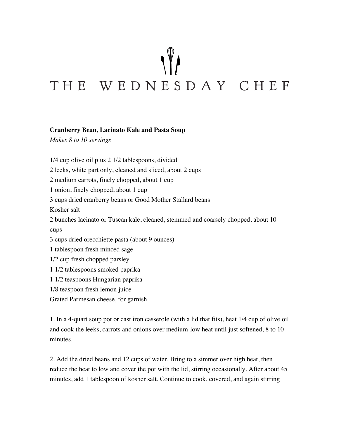## THE WEDNESDAY CHEF

## **Cranberry Bean, Lacinato Kale and Pasta Soup**

*Makes 8 to 10 servings*

1/4 cup olive oil plus 2 1/2 tablespoons, divided 2 leeks, white part only, cleaned and sliced, about 2 cups 2 medium carrots, finely chopped, about 1 cup 1 onion, finely chopped, about 1 cup 3 cups dried cranberry beans or Good Mother Stallard beans Kosher salt 2 bunches lacinato or Tuscan kale, cleaned, stemmed and coarsely chopped, about 10 cups 3 cups dried orecchiette pasta (about 9 ounces) 1 tablespoon fresh minced sage 1/2 cup fresh chopped parsley 1 1/2 tablespoons smoked paprika 1 1/2 teaspoons Hungarian paprika 1/8 teaspoon fresh lemon juice Grated Parmesan cheese, for garnish

1. In a 4-quart soup pot or cast iron casserole (with a lid that fits), heat 1/4 cup of olive oil and cook the leeks, carrots and onions over medium-low heat until just softened, 8 to 10 minutes.

2. Add the dried beans and 12 cups of water. Bring to a simmer over high heat, then reduce the heat to low and cover the pot with the lid, stirring occasionally. After about 45 minutes, add 1 tablespoon of kosher salt. Continue to cook, covered, and again stirring